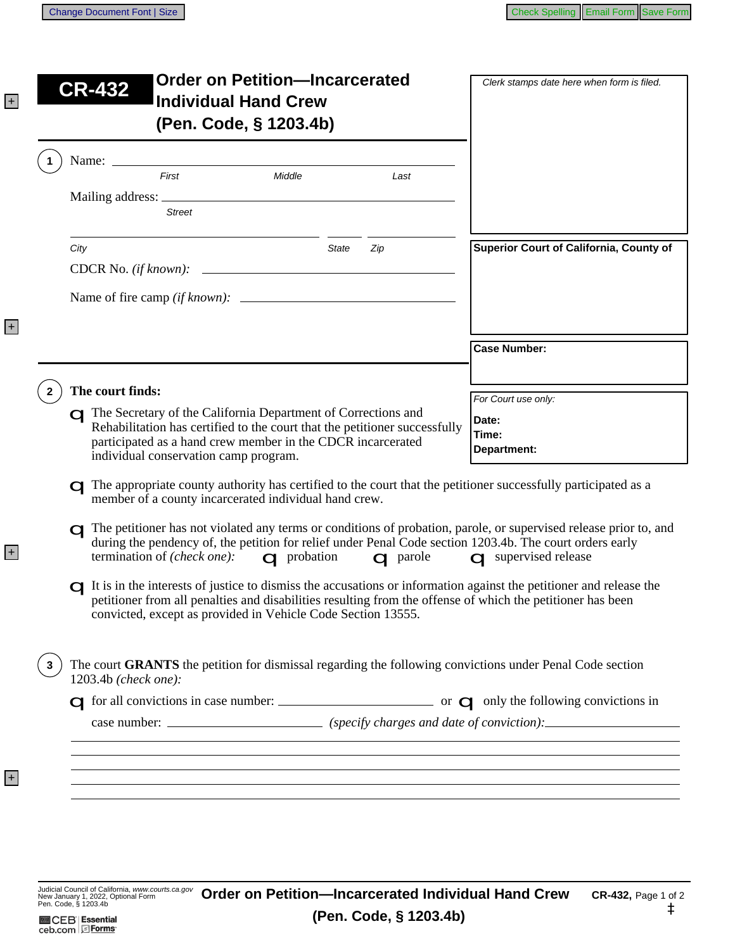+

ceb.com

+

+

+

| <b>Order on Petition-Incarcerated</b><br><b>CR-432</b><br><b>Individual Hand Crew</b><br>(Pen. Code, § 1203.4b)                                                                                                                                                                                                                                                                                                                         |                                                                      |                                                              |                 | Clerk stamps date here when form is filed.                                                                                                                                                                                                                     |
|-----------------------------------------------------------------------------------------------------------------------------------------------------------------------------------------------------------------------------------------------------------------------------------------------------------------------------------------------------------------------------------------------------------------------------------------|----------------------------------------------------------------------|--------------------------------------------------------------|-----------------|----------------------------------------------------------------------------------------------------------------------------------------------------------------------------------------------------------------------------------------------------------------|
| Name: _                                                                                                                                                                                                                                                                                                                                                                                                                                 | <u> 1980 - Jan Barat, martin a</u><br>First                          | Middle                                                       | Last            |                                                                                                                                                                                                                                                                |
|                                                                                                                                                                                                                                                                                                                                                                                                                                         | <b>Street</b>                                                        |                                                              |                 |                                                                                                                                                                                                                                                                |
| City                                                                                                                                                                                                                                                                                                                                                                                                                                    |                                                                      | State<br>CDCR No. (if known):                                | Zip             | <b>Superior Court of California, County of</b>                                                                                                                                                                                                                 |
|                                                                                                                                                                                                                                                                                                                                                                                                                                         |                                                                      |                                                              |                 |                                                                                                                                                                                                                                                                |
|                                                                                                                                                                                                                                                                                                                                                                                                                                         |                                                                      |                                                              |                 | <b>Case Number:</b>                                                                                                                                                                                                                                            |
| <b>C</b> The Secretary of the California Department of Corrections and<br>Rehabilitation has certified to the court that the petitioner successfully<br>participated as a hand crew member in the CDCR incarcerated<br>individual conservation camp program.<br>The appropriate county authority has certified to the court that the petitioner successfully participated as a<br>member of a county incarcerated individual hand crew. |                                                                      |                                                              |                 | Date:<br>Time:<br>Department:                                                                                                                                                                                                                                  |
|                                                                                                                                                                                                                                                                                                                                                                                                                                         | termination of <i>(check one)</i> : $\qquad \qquad \qquad$ probation |                                                              | <b>Q</b> parole | O The petitioner has not violated any terms or conditions of probation, parole, or supervised release prior to, and<br>during the pendency of, the petition for relief under Penal Code section 1203.4b. The court orders early<br><b>Q</b> supervised release |
|                                                                                                                                                                                                                                                                                                                                                                                                                                         |                                                                      |                                                              |                 |                                                                                                                                                                                                                                                                |
|                                                                                                                                                                                                                                                                                                                                                                                                                                         |                                                                      | convicted, except as provided in Vehicle Code Section 13555. |                 | $\Box$ It is in the interests of justice to dismiss the accusations or information against the petitioner and release the<br>petitioner from all penalties and disabilities resulting from the offense of which the petitioner has been                        |
| 1203.4b (check one):                                                                                                                                                                                                                                                                                                                                                                                                                    |                                                                      |                                                              |                 | The court GRANTS the petition for dismissal regarding the following convictions under Penal Code section                                                                                                                                                       |
|                                                                                                                                                                                                                                                                                                                                                                                                                                         |                                                                      |                                                              |                 |                                                                                                                                                                                                                                                                |